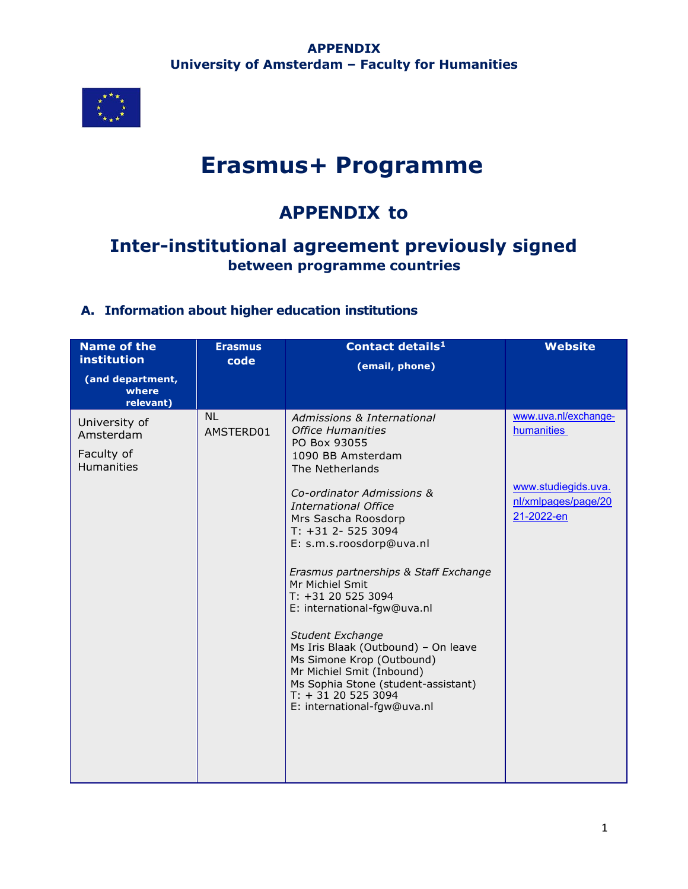

# **Erasmus+ Programme**

## **APPENDIX to**

## **Inter-institutional agreement previously signed between programme countries**

## **A. Information about higher education institutions**

| <b>Name of the</b><br>institution                      | <b>Erasmus</b><br>code      | Contact details <sup>1</sup><br>(email, phone)                                                                                                                                                               | <b>Website</b>                                           |
|--------------------------------------------------------|-----------------------------|--------------------------------------------------------------------------------------------------------------------------------------------------------------------------------------------------------------|----------------------------------------------------------|
| (and department,<br>where<br>relevant)                 |                             |                                                                                                                                                                                                              |                                                          |
| University of<br>Amsterdam<br>Faculty of<br>Humanities | N <sub>1</sub><br>AMSTERD01 | Admissions & International<br>Office Humanities<br>PO Box 93055<br>1090 BB Amsterdam<br>The Netherlands                                                                                                      | www.uva.nl/exchange-<br>humanities                       |
|                                                        |                             | Co-ordinator Admissions &<br>International Office<br>Mrs Sascha Roosdorp<br>$T: +312 - 5253094$<br>E: s.m.s.roosdorp@uva.nl                                                                                  | www.studiegids.uva.<br>nl/xmlpages/page/20<br>21-2022-en |
|                                                        |                             | Erasmus partnerships & Staff Exchange<br>Mr Michiel Smit<br>T: +31 20 525 3094<br>E: international-fgw@uva.nl                                                                                                |                                                          |
|                                                        |                             | Student Exchange<br>Ms Iris Blaak (Outbound) - On leave<br>Ms Simone Krop (Outbound)<br>Mr Michiel Smit (Inbound)<br>Ms Sophia Stone (student-assistant)<br>$T: +31205253094$<br>E: international-fgw@uva.nl |                                                          |
|                                                        |                             |                                                                                                                                                                                                              |                                                          |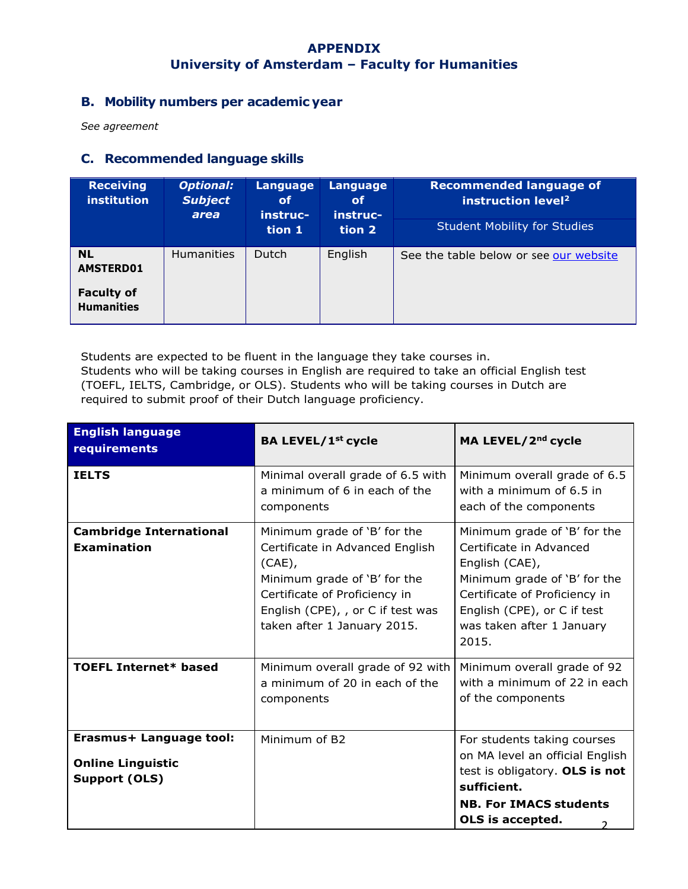## **B. Mobility numbers per academic year**

*See agreement*

#### **C. Recommended language skills**

| <b>Receiving</b><br><b>institution</b> | <b>Optional:</b><br><b>Subject</b><br>area | Language<br><b>of</b><br>instruc- | Language<br><b>of</b><br>instruc- | <b>Recommended language of</b><br>instruction level <sup>2</sup> |
|----------------------------------------|--------------------------------------------|-----------------------------------|-----------------------------------|------------------------------------------------------------------|
|                                        |                                            | tion 1                            | tion 2                            | <b>Student Mobility for Studies</b>                              |
| <b>NL</b><br><b>AMSTERD01</b>          | <b>Humanities</b>                          | <b>Dutch</b>                      | English                           | See the table below or see our website                           |
| <b>Faculty of</b><br><b>Humanities</b> |                                            |                                   |                                   |                                                                  |

Students are expected to be fluent in the language they take courses in. Students who will be taking courses in English are required to take an official English test (TOEFL, IELTS, Cambridge, or OLS). Students who will be taking courses in Dutch are required to submit proof of their Dutch language proficiency.

| <b>English language</b><br>requirements                                     | <b>BA LEVEL/1st cycle</b>                                                                                                                                                                                         | MA LEVEL/2 <sup>nd</sup> cycle                                                                                                                                                                                  |
|-----------------------------------------------------------------------------|-------------------------------------------------------------------------------------------------------------------------------------------------------------------------------------------------------------------|-----------------------------------------------------------------------------------------------------------------------------------------------------------------------------------------------------------------|
| <b>TELTS</b>                                                                | Minimal overall grade of 6.5 with<br>a minimum of 6 in each of the<br>components                                                                                                                                  | Minimum overall grade of 6.5<br>with a minimum of 6.5 in<br>each of the components                                                                                                                              |
| <b>Cambridge International</b><br><b>Examination</b>                        | Minimum grade of 'B' for the<br>Certificate in Advanced English<br>$(CAE)$ ,<br>Minimum grade of 'B' for the<br>Certificate of Proficiency in<br>English (CPE), , or C if test was<br>taken after 1 January 2015. | Minimum grade of 'B' for the<br>Certificate in Advanced<br>English (CAE),<br>Minimum grade of 'B' for the<br>Certificate of Proficiency in<br>English (CPE), or C if test<br>was taken after 1 January<br>2015. |
| <b>TOEFL Internet* based</b>                                                | Minimum overall grade of 92 with<br>a minimum of 20 in each of the<br>components                                                                                                                                  | Minimum overall grade of 92<br>with a minimum of 22 in each<br>of the components                                                                                                                                |
| Erasmus+ Language tool:<br><b>Online Linguistic</b><br><b>Support (OLS)</b> | Minimum of B2                                                                                                                                                                                                     | For students taking courses<br>on MA level an official English<br>test is obligatory. OLS is not<br>sufficient.<br><b>NB. For IMACS students</b><br>OLS is accepted.                                            |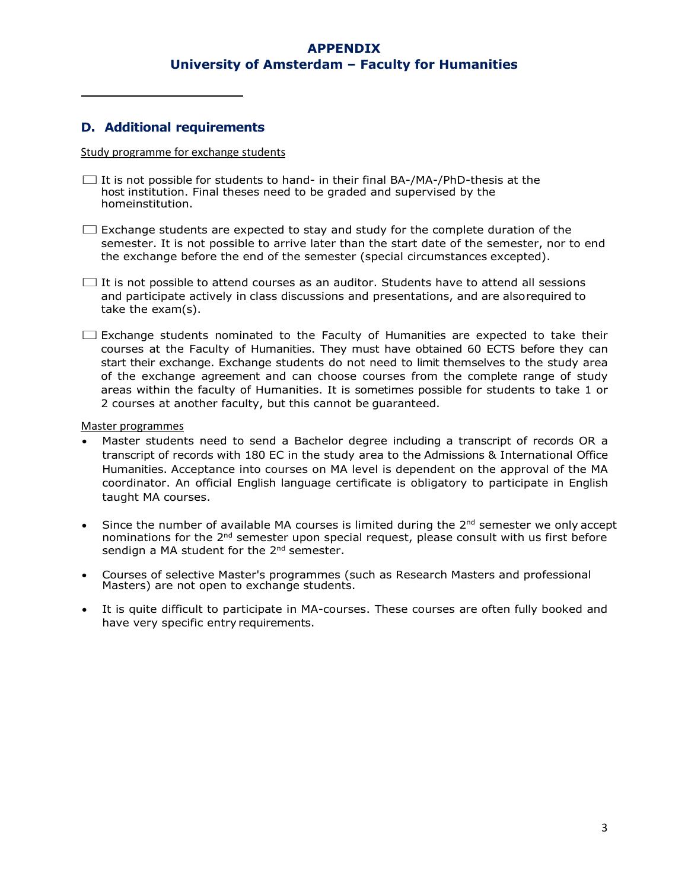#### **D. Additional requirements**

#### Study programme for exchange students

- $\square$  It is not possible for students to hand- in their final BA-/MA-/PhD-thesis at the host institution. Final theses need to be graded and supervised by the homeinstitution.
- $\square$  Exchange students are expected to stay and study for the complete duration of the semester. It is not possible to arrive later than the start date of the semester, nor to end the exchange before the end of the semester (special circumstances excepted).
- $\square$  It is not possible to attend courses as an auditor. Students have to attend all sessions and participate actively in class discussions and presentations, and are alsorequired to take the exam(s).
- $\square$  Exchange students nominated to the Faculty of Humanities are expected to take their courses at the Faculty of Humanities. They must have obtained 60 ECTS before they can start their exchange. Exchange students do not need to limit themselves to the study area of the exchange agreement and can choose courses from the complete range of study areas within the faculty of Humanities. It is sometimes possible for students to take 1 or 2 courses at another faculty, but this cannot be guaranteed.

#### Master programmes

- Master students need to send a Bachelor degree including a transcript of records OR a transcript of records with 180 EC in the study area to the Admissions & International Office Humanities. Acceptance into courses on MA level is dependent on the approval of the MA coordinator. An official English language certificate is obligatory to participate in English taught MA courses.
- Since the number of available MA courses is limited during the  $2<sup>nd</sup>$  semester we only accept nominations for the 2<sup>nd</sup> semester upon special request, please consult with us first before sendign a MA student for the 2<sup>nd</sup> semester.
- Courses of selective Master's programmes (such as Research Masters and professional Masters) are not open to exchange students.
- It is quite difficult to participate in MA-courses. These courses are often fully booked and have very specific entry requirements.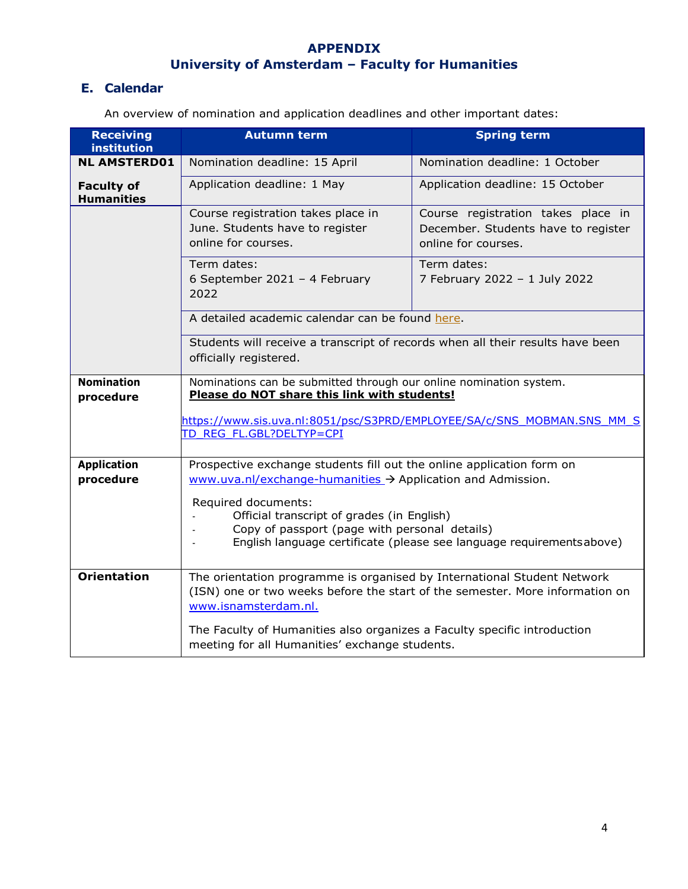## **E. Calendar**

An overview of nomination and application deadlines and other important dates:

| <b>Receiving</b><br>institution        | <b>Autumn term</b>                                                                                                                                                                         | <b>Spring term</b>                                                                               |  |
|----------------------------------------|--------------------------------------------------------------------------------------------------------------------------------------------------------------------------------------------|--------------------------------------------------------------------------------------------------|--|
| <b>NL AMSTERD01</b>                    | Nomination deadline: 15 April                                                                                                                                                              | Nomination deadline: 1 October                                                                   |  |
| <b>Faculty of</b><br><b>Humanities</b> | Application deadline: 1 May                                                                                                                                                                | Application deadline: 15 October                                                                 |  |
|                                        | Course registration takes place in<br>June. Students have to register<br>online for courses.                                                                                               | Course registration takes place in<br>December. Students have to register<br>online for courses. |  |
|                                        | Term dates:<br>6 September 2021 - 4 February<br>2022                                                                                                                                       | Term dates:<br>7 February 2022 - 1 July 2022                                                     |  |
|                                        | A detailed academic calendar can be found here.                                                                                                                                            |                                                                                                  |  |
|                                        | Students will receive a transcript of records when all their results have been<br>officially registered.                                                                                   |                                                                                                  |  |
| <b>Nomination</b><br>procedure         | Nominations can be submitted through our online nomination system.<br>Please do NOT share this link with students!                                                                         |                                                                                                  |  |
|                                        | TD REG FL.GBL?DELTYP=CPI                                                                                                                                                                   | https://www.sis.uva.nl:8051/psc/S3PRD/EMPLOYEE/SA/c/SNS MOBMAN.SNS MM S                          |  |
| <b>Application</b>                     | Prospective exchange students fill out the online application form on                                                                                                                      |                                                                                                  |  |
| procedure                              | www.uva.nl/exchange-humanities > Application and Admission.                                                                                                                                |                                                                                                  |  |
|                                        | Required documents:<br>Official transcript of grades (in English)<br>Copy of passport (page with personal details)<br>English language certificate (please see language requirementsabove) |                                                                                                  |  |
| <b>Orientation</b>                     | The orientation programme is organised by International Student Network<br>(ISN) one or two weeks before the start of the semester. More information on<br>www.isnamsterdam.nl.            |                                                                                                  |  |
|                                        | The Faculty of Humanities also organizes a Faculty specific introduction<br>meeting for all Humanities' exchange students.                                                                 |                                                                                                  |  |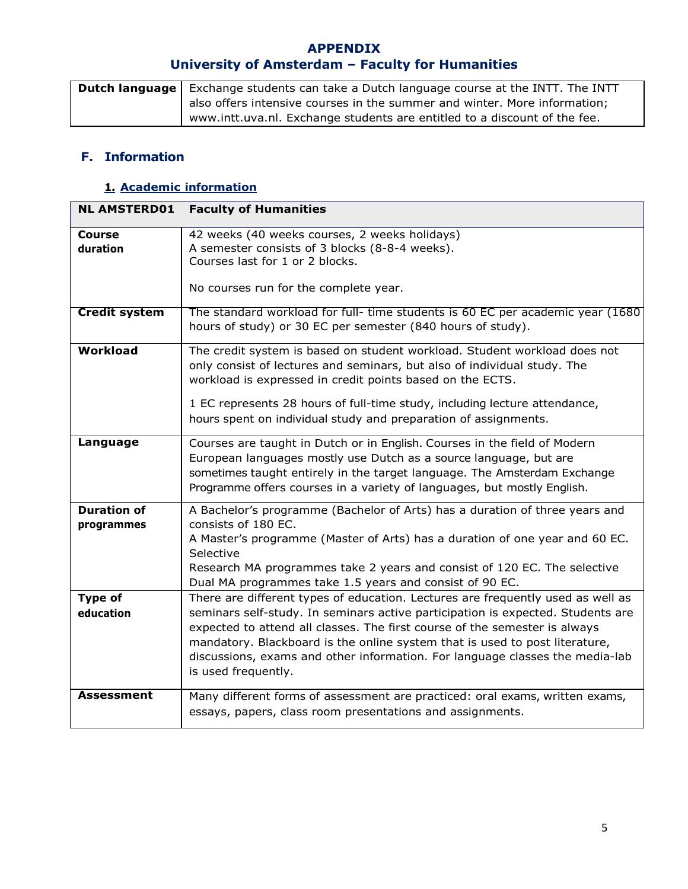| <b>Dutch language</b> Exchange students can take a Dutch language course at the INTT. The INTT |
|------------------------------------------------------------------------------------------------|
| also offers intensive courses in the summer and winter. More information;                      |
| www.intt.uva.nl. Exchange students are entitled to a discount of the fee.                      |

## **F. Information**

## **1. Academic information**

| <b>NL AMSTERD01</b>              | <b>Faculty of Humanities</b>                                                                                                                                                                                                                                                                                                                                                                                                           |
|----------------------------------|----------------------------------------------------------------------------------------------------------------------------------------------------------------------------------------------------------------------------------------------------------------------------------------------------------------------------------------------------------------------------------------------------------------------------------------|
| <b>Course</b><br>duration        | 42 weeks (40 weeks courses, 2 weeks holidays)<br>A semester consists of 3 blocks (8-8-4 weeks).<br>Courses last for 1 or 2 blocks.                                                                                                                                                                                                                                                                                                     |
|                                  | No courses run for the complete year.                                                                                                                                                                                                                                                                                                                                                                                                  |
| <b>Credit system</b>             | The standard workload for full- time students is 60 EC per academic year (1680)<br>hours of study) or 30 EC per semester (840 hours of study).                                                                                                                                                                                                                                                                                         |
| Workload                         | The credit system is based on student workload. Student workload does not<br>only consist of lectures and seminars, but also of individual study. The<br>workload is expressed in credit points based on the ECTS.<br>1 EC represents 28 hours of full-time study, including lecture attendance,<br>hours spent on individual study and preparation of assignments.                                                                    |
| Language                         | Courses are taught in Dutch or in English. Courses in the field of Modern<br>European languages mostly use Dutch as a source language, but are<br>sometimes taught entirely in the target language. The Amsterdam Exchange<br>Programme offers courses in a variety of languages, but mostly English.                                                                                                                                  |
| <b>Duration of</b><br>programmes | A Bachelor's programme (Bachelor of Arts) has a duration of three years and<br>consists of 180 EC.<br>A Master's programme (Master of Arts) has a duration of one year and 60 EC.<br>Selective<br>Research MA programmes take 2 years and consist of 120 EC. The selective<br>Dual MA programmes take 1.5 years and consist of 90 EC.                                                                                                  |
| <b>Type of</b><br>education      | There are different types of education. Lectures are frequently used as well as<br>seminars self-study. In seminars active participation is expected. Students are<br>expected to attend all classes. The first course of the semester is always<br>mandatory. Blackboard is the online system that is used to post literature,<br>discussions, exams and other information. For language classes the media-lab<br>is used frequently. |
| <b>Assessment</b>                | Many different forms of assessment are practiced: oral exams, written exams,<br>essays, papers, class room presentations and assignments.                                                                                                                                                                                                                                                                                              |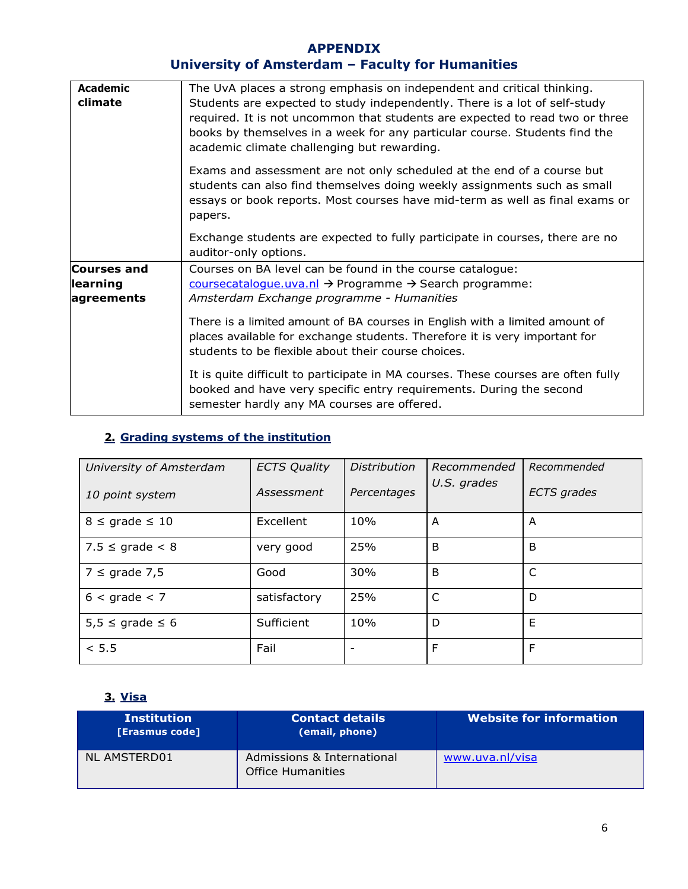| <b>Academic</b><br>climate | The UvA places a strong emphasis on independent and critical thinking.<br>Students are expected to study independently. There is a lot of self-study<br>required. It is not uncommon that students are expected to read two or three<br>books by themselves in a week for any particular course. Students find the<br>academic climate challenging but rewarding. |
|----------------------------|-------------------------------------------------------------------------------------------------------------------------------------------------------------------------------------------------------------------------------------------------------------------------------------------------------------------------------------------------------------------|
|                            | Exams and assessment are not only scheduled at the end of a course but<br>students can also find themselves doing weekly assignments such as small<br>essays or book reports. Most courses have mid-term as well as final exams or<br>papers.                                                                                                                     |
|                            | Exchange students are expected to fully participate in courses, there are no<br>auditor-only options.                                                                                                                                                                                                                                                             |
| <b>Courses and</b>         | Courses on BA level can be found in the course catalogue:                                                                                                                                                                                                                                                                                                         |
| learning                   | coursecatalogue.uva.nl → Programme → Search programme:                                                                                                                                                                                                                                                                                                            |
| agreements                 | Amsterdam Exchange programme - Humanities                                                                                                                                                                                                                                                                                                                         |
|                            | There is a limited amount of BA courses in English with a limited amount of<br>places available for exchange students. Therefore it is very important for<br>students to be flexible about their course choices.                                                                                                                                                  |
|                            | It is quite difficult to participate in MA courses. These courses are often fully<br>booked and have very specific entry requirements. During the second<br>semester hardly any MA courses are offered.                                                                                                                                                           |

## **2. Grading systems of the institution**

| University of Amsterdam | <b>ECTS Quality</b> | <b>Distribution</b>      | Recommended | Recommended        |
|-------------------------|---------------------|--------------------------|-------------|--------------------|
| 10 point system         | Assessment          | Percentages              | U.S. grades | <b>ECTS</b> grades |
| $8 \le$ grade $\le$ 10  | Excellent           | 10%                      | A           | A                  |
| $7.5 \le$ grade $\lt 8$ | very good           | 25%                      | B           | B                  |
| $7 \le$ grade 7,5       | Good                | 30%                      | B           | C                  |
| $6 <$ grade $< 7$       | satisfactory        | 25%                      | C           | D                  |
| $5,5 \le$ grade $\le 6$ | Sufficient          | 10%                      | D           | E                  |
| < 5.5                   | Fail                | $\overline{\phantom{0}}$ | F           | F                  |

## **3. Visa**

| <b>Institution</b><br>[Erasmus code] | <b>Contact details</b><br>(email, phone)               | <b>Website for information</b> |
|--------------------------------------|--------------------------------------------------------|--------------------------------|
| NL AMSTERD01                         | Admissions & International<br><b>Office Humanities</b> | www.uva.nl/visa                |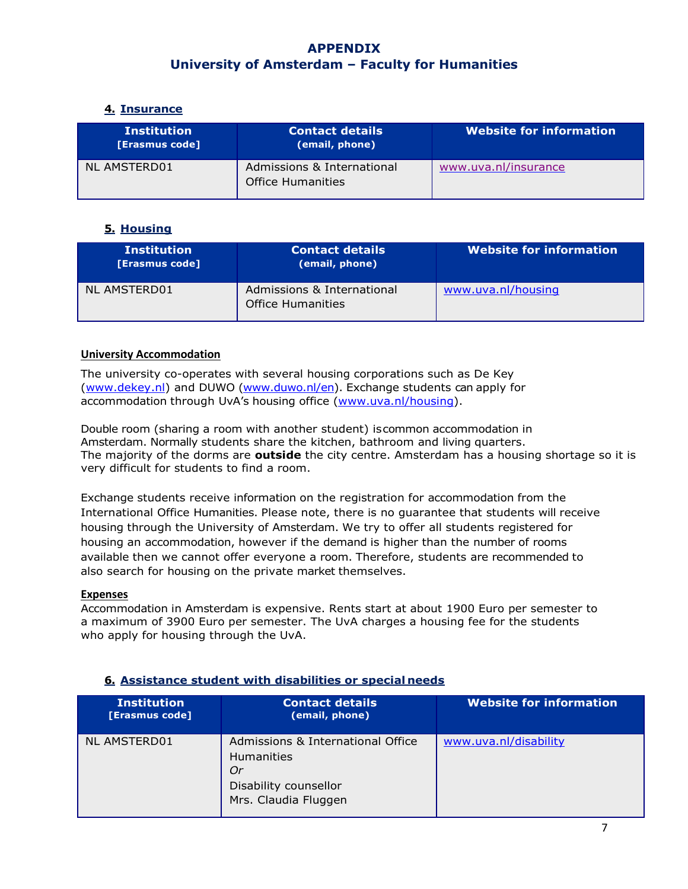#### **4. Insurance**

| <b>Institution</b><br>[Erasmus code] | <b>Contact details</b><br>(email, phone)               | <b>Website for information</b> |
|--------------------------------------|--------------------------------------------------------|--------------------------------|
| NL AMSTERD01                         | Admissions & International<br><b>Office Humanities</b> | www.uva.nl/insurance           |

#### **5. Housing**

| <b>Institution</b><br><b>[Erasmus code]</b> | <b>Contact details</b><br>(email, phone)               | <b>Website for information</b> |
|---------------------------------------------|--------------------------------------------------------|--------------------------------|
| NL AMSTERD01                                | Admissions & International<br><b>Office Humanities</b> | www.uva.nl/housing             |

#### **University Accommodation**

The university co-operates with several housing corporations such as De Key [\(www.dekey.nl\)](http://www.dekey.nl/) and DUWO [\(www.duwo.nl/en\)](http://www.duwo.nl/en). Exchange students can apply for accommodation through UvA's housing office [\(www.uva.nl/housing\).](http://www.uva.nl/housing)

Double room (sharing a room with another student) iscommon accommodation in Amsterdam. Normally students share the kitchen, bathroom and living quarters. The majority of the dorms are **outside** the city centre. Amsterdam has a housing shortage so it is very difficult for students to find a room.

Exchange students receive information on the registration for accommodation from the International Office Humanities. Please note, there is no guarantee that students will receive housing through the University of Amsterdam. We try to offer all students registered for housing an accommodation, however if the demand is higher than the number of rooms available then we cannot offer everyone a room. Therefore, students are recommended to also search for housing on the private market themselves.

#### **Expenses**

Accommodation in Amsterdam is expensive. Rents start at about 1900 Euro per semester to a maximum of 3900 Euro per semester. The UvA charges a housing fee for the students who apply for housing through the UvA.

| <b>Institution</b><br>[Erasmus code] | <b>Contact details</b><br>(email, phone)                                                                      | <b>Website for information</b> |
|--------------------------------------|---------------------------------------------------------------------------------------------------------------|--------------------------------|
| <b>NL AMSTERD01</b>                  | Admissions & International Office<br><b>Humanities</b><br>Or<br>Disability counsellor<br>Mrs. Claudia Fluggen | www.uva.nl/disability          |

#### **6. Assistance student with disabilities or special needs**